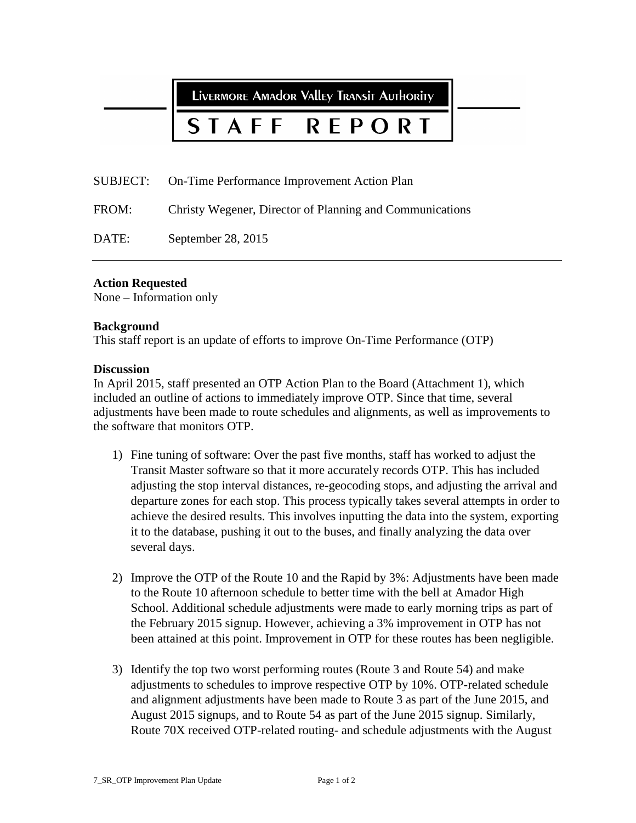LIVERMORE AMAdor Valley TRANSIT AUTHORITY

## STAFF **REPORT**

SUBJECT: On-Time Performance Improvement Action Plan

FROM: Christy Wegener, Director of Planning and Communications

DATE: September 28, 2015

#### **Action Requested**

None – Information only

#### **Background**

This staff report is an update of efforts to improve On-Time Performance (OTP)

#### **Discussion**

In April 2015, staff presented an OTP Action Plan to the Board (Attachment 1), which included an outline of actions to immediately improve OTP. Since that time, several adjustments have been made to route schedules and alignments, as well as improvements to the software that monitors OTP.

- 1) Fine tuning of software: Over the past five months, staff has worked to adjust the Transit Master software so that it more accurately records OTP. This has included adjusting the stop interval distances, re-geocoding stops, and adjusting the arrival and departure zones for each stop. This process typically takes several attempts in order to achieve the desired results. This involves inputting the data into the system, exporting it to the database, pushing it out to the buses, and finally analyzing the data over several days.
- 2) Improve the OTP of the Route 10 and the Rapid by 3%: Adjustments have been made to the Route 10 afternoon schedule to better time with the bell at Amador High School. Additional schedule adjustments were made to early morning trips as part of the February 2015 signup. However, achieving a 3% improvement in OTP has not been attained at this point. Improvement in OTP for these routes has been negligible.
- 3) Identify the top two worst performing routes (Route 3 and Route 54) and make adjustments to schedules to improve respective OTP by 10%. OTP-related schedule and alignment adjustments have been made to Route 3 as part of the June 2015, and August 2015 signups, and to Route 54 as part of the June 2015 signup. Similarly, Route 70X received OTP-related routing- and schedule adjustments with the August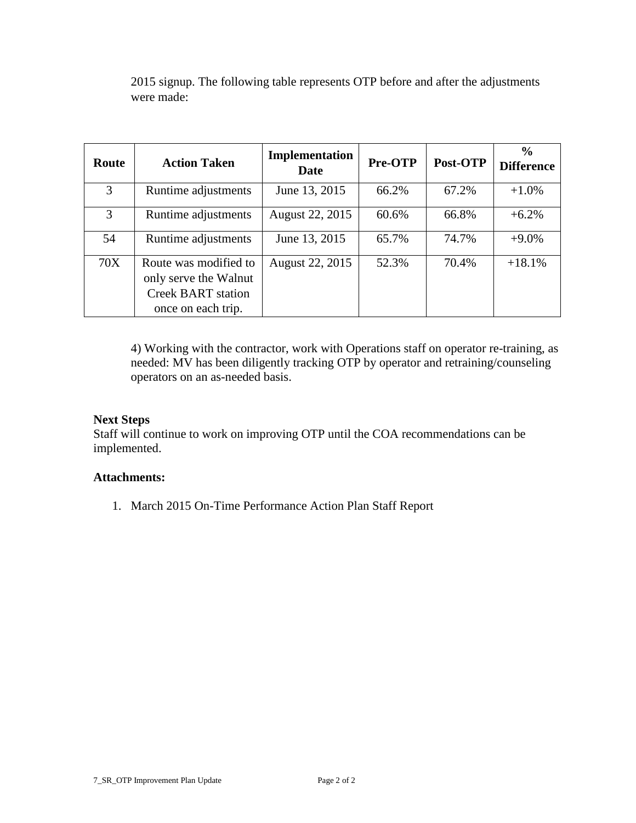| Route | <b>Action Taken</b>                                                                               | Implementation<br>Date | Pre-OTP | Post-OTP | $\frac{6}{9}$<br><b>Difference</b> |
|-------|---------------------------------------------------------------------------------------------------|------------------------|---------|----------|------------------------------------|
| 3     | Runtime adjustments                                                                               | June 13, 2015          | 66.2%   | 67.2%    | $+1.0%$                            |
| 3     | Runtime adjustments                                                                               | August 22, 2015        | 60.6%   | 66.8%    | $+6.2%$                            |
| 54    | Runtime adjustments                                                                               | June 13, 2015          | 65.7%   | 74.7%    | $+9.0\%$                           |
| 70X   | Route was modified to<br>only serve the Walnut<br><b>Creek BART</b> station<br>once on each trip. | August 22, 2015        | 52.3%   | 70.4%    | $+18.1%$                           |

2015 signup. The following table represents OTP before and after the adjustments were made:

4) Working with the contractor, work with Operations staff on operator re-training, as needed: MV has been diligently tracking OTP by operator and retraining/counseling operators on an as-needed basis.

# **Next Steps**

Staff will continue to work on improving OTP until the COA recommendations can be implemented.

## **Attachments:**

1. March 2015 On-Time Performance Action Plan Staff Report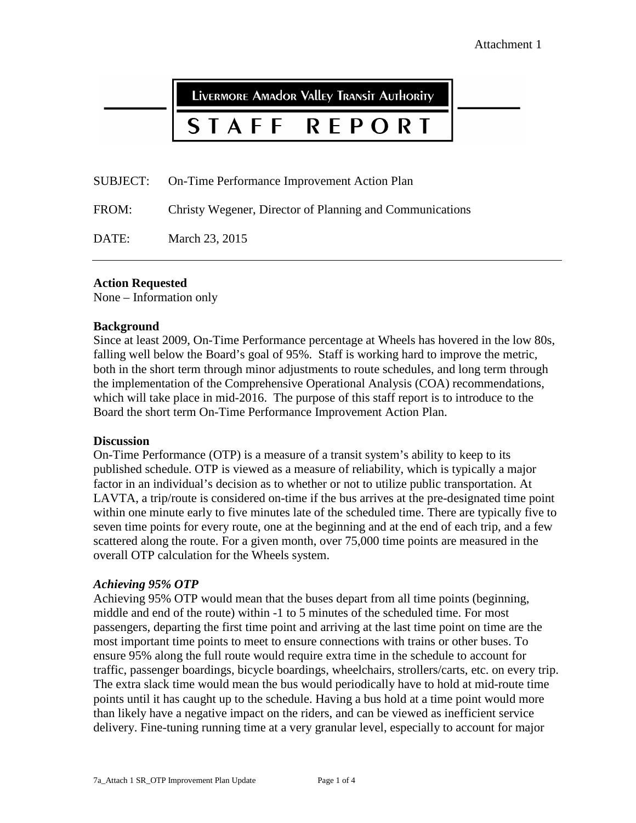LIVERMORE AMAdOR VAllEY TRANSIT AUTHORITY

### STAFF REPORT

SUBJECT: On-Time Performance Improvement Action Plan

FROM: Christy Wegener, Director of Planning and Communications

DATE: March 23, 2015

#### **Action Requested**

None – Information only

#### **Background**

Since at least 2009, On-Time Performance percentage at Wheels has hovered in the low 80s, falling well below the Board's goal of 95%. Staff is working hard to improve the metric, both in the short term through minor adjustments to route schedules, and long term through the implementation of the Comprehensive Operational Analysis (COA) recommendations, which will take place in mid-2016. The purpose of this staff report is to introduce to the Board the short term On-Time Performance Improvement Action Plan.

#### **Discussion**

On-Time Performance (OTP) is a measure of a transit system's ability to keep to its published schedule. OTP is viewed as a measure of reliability, which is typically a major factor in an individual's decision as to whether or not to utilize public transportation. At LAVTA, a trip/route is considered on-time if the bus arrives at the pre-designated time point within one minute early to five minutes late of the scheduled time. There are typically five to seven time points for every route, one at the beginning and at the end of each trip, and a few scattered along the route. For a given month, over 75,000 time points are measured in the overall OTP calculation for the Wheels system.

#### *Achieving 95% OTP*

Achieving 95% OTP would mean that the buses depart from all time points (beginning, middle and end of the route) within -1 to 5 minutes of the scheduled time. For most passengers, departing the first time point and arriving at the last time point on time are the most important time points to meet to ensure connections with trains or other buses. To ensure 95% along the full route would require extra time in the schedule to account for traffic, passenger boardings, bicycle boardings, wheelchairs, strollers/carts, etc. on every trip. The extra slack time would mean the bus would periodically have to hold at mid-route time points until it has caught up to the schedule. Having a bus hold at a time point would more than likely have a negative impact on the riders, and can be viewed as inefficient service delivery. Fine-tuning running time at a very granular level, especially to account for major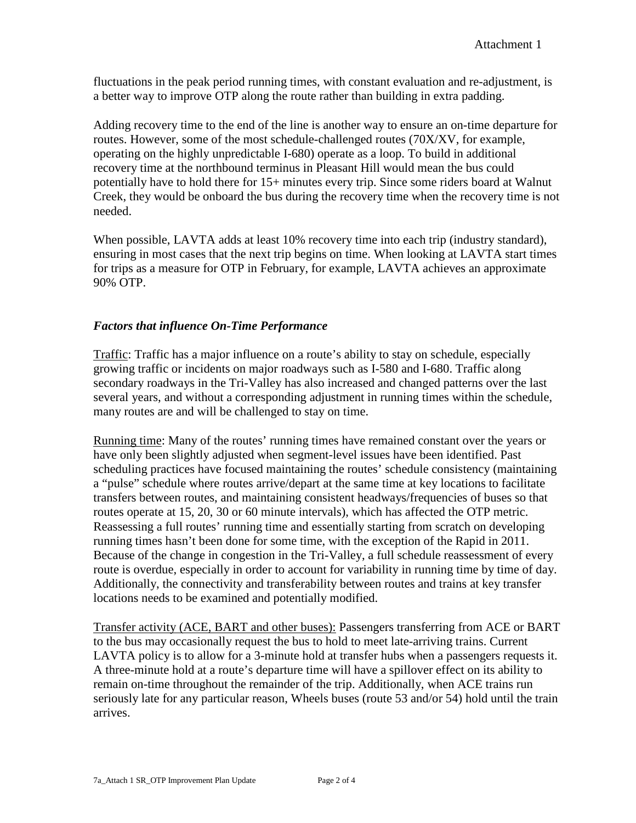fluctuations in the peak period running times, with constant evaluation and re-adjustment, is a better way to improve OTP along the route rather than building in extra padding.

Adding recovery time to the end of the line is another way to ensure an on-time departure for routes. However, some of the most schedule-challenged routes (70X/XV, for example, operating on the highly unpredictable I-680) operate as a loop. To build in additional recovery time at the northbound terminus in Pleasant Hill would mean the bus could potentially have to hold there for 15+ minutes every trip. Since some riders board at Walnut Creek, they would be onboard the bus during the recovery time when the recovery time is not needed.

When possible, LAVTA adds at least 10% recovery time into each trip (industry standard), ensuring in most cases that the next trip begins on time. When looking at LAVTA start times for trips as a measure for OTP in February, for example, LAVTA achieves an approximate 90% OTP.

# *Factors that influence On-Time Performance*

Traffic: Traffic has a major influence on a route's ability to stay on schedule, especially growing traffic or incidents on major roadways such as I-580 and I-680. Traffic along secondary roadways in the Tri-Valley has also increased and changed patterns over the last several years, and without a corresponding adjustment in running times within the schedule, many routes are and will be challenged to stay on time.

Running time: Many of the routes' running times have remained constant over the years or have only been slightly adjusted when segment-level issues have been identified. Past scheduling practices have focused maintaining the routes' schedule consistency (maintaining a "pulse" schedule where routes arrive/depart at the same time at key locations to facilitate transfers between routes, and maintaining consistent headways/frequencies of buses so that routes operate at 15, 20, 30 or 60 minute intervals), which has affected the OTP metric. Reassessing a full routes' running time and essentially starting from scratch on developing running times hasn't been done for some time, with the exception of the Rapid in 2011. Because of the change in congestion in the Tri-Valley, a full schedule reassessment of every route is overdue, especially in order to account for variability in running time by time of day. Additionally, the connectivity and transferability between routes and trains at key transfer locations needs to be examined and potentially modified.

Transfer activity (ACE, BART and other buses): Passengers transferring from ACE or BART to the bus may occasionally request the bus to hold to meet late-arriving trains. Current LAVTA policy is to allow for a 3-minute hold at transfer hubs when a passengers requests it. A three-minute hold at a route's departure time will have a spillover effect on its ability to remain on-time throughout the remainder of the trip. Additionally, when ACE trains run seriously late for any particular reason, Wheels buses (route 53 and/or 54) hold until the train arrives.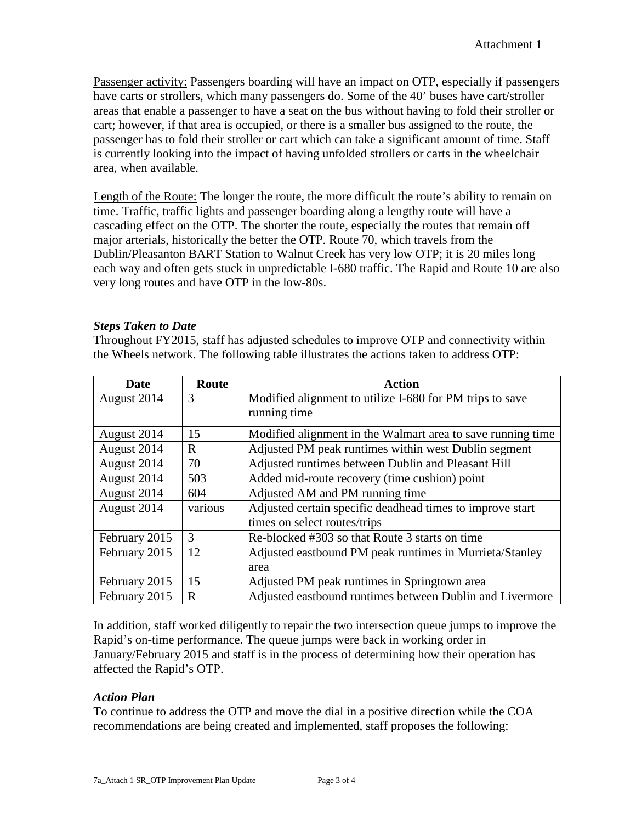Passenger activity: Passengers boarding will have an impact on OTP, especially if passengers have carts or strollers, which many passengers do. Some of the 40' buses have cart/stroller areas that enable a passenger to have a seat on the bus without having to fold their stroller or cart; however, if that area is occupied, or there is a smaller bus assigned to the route, the passenger has to fold their stroller or cart which can take a significant amount of time. Staff is currently looking into the impact of having unfolded strollers or carts in the wheelchair area, when available.

Length of the Route: The longer the route, the more difficult the route's ability to remain on time. Traffic, traffic lights and passenger boarding along a lengthy route will have a cascading effect on the OTP. The shorter the route, especially the routes that remain off major arterials, historically the better the OTP. Route 70, which travels from the Dublin/Pleasanton BART Station to Walnut Creek has very low OTP; it is 20 miles long each way and often gets stuck in unpredictable I-680 traffic. The Rapid and Route 10 are also very long routes and have OTP in the low-80s.

## *Steps Taken to Date*

Throughout FY2015, staff has adjusted schedules to improve OTP and connectivity within the Wheels network. The following table illustrates the actions taken to address OTP:

| Date               | Route        | <b>Action</b>                                               |  |  |
|--------------------|--------------|-------------------------------------------------------------|--|--|
| August 2014        | 3            | Modified alignment to utilize I-680 for PM trips to save    |  |  |
|                    |              | running time                                                |  |  |
| August 2014        | 15           | Modified alignment in the Walmart area to save running time |  |  |
| August 2014        | $\mathbf{R}$ | Adjusted PM peak runtimes within west Dublin segment        |  |  |
| August 2014        | 70           | Adjusted runtimes between Dublin and Pleasant Hill          |  |  |
| August 2014        | 503          | Added mid-route recovery (time cushion) point               |  |  |
| August 2014<br>604 |              | Adjusted AM and PM running time                             |  |  |
| August 2014        | various      | Adjusted certain specific deadhead times to improve start   |  |  |
|                    |              | times on select routes/trips                                |  |  |
| February 2015      | 3            | Re-blocked #303 so that Route 3 starts on time              |  |  |
| February 2015      | 12           | Adjusted eastbound PM peak runtimes in Murrieta/Stanley     |  |  |
|                    |              | area                                                        |  |  |
| February 2015      | 15           | Adjusted PM peak runtimes in Springtown area                |  |  |
| February 2015      | $\mathbf{R}$ | Adjusted eastbound runtimes between Dublin and Livermore    |  |  |

In addition, staff worked diligently to repair the two intersection queue jumps to improve the Rapid's on-time performance. The queue jumps were back in working order in January/February 2015 and staff is in the process of determining how their operation has affected the Rapid's OTP.

# *Action Plan*

To continue to address the OTP and move the dial in a positive direction while the COA recommendations are being created and implemented, staff proposes the following: